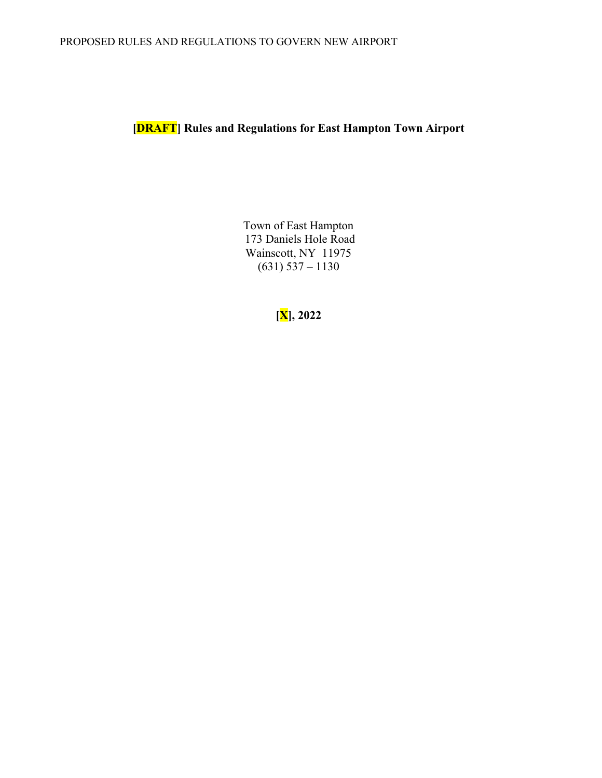**[DRAFT] Rules and Regulations for East Hampton Town Airport**

Town of East Hampton 173 Daniels Hole Road Wainscott, NY 11975  $(631)$  537 – 1130

**[X], 2022**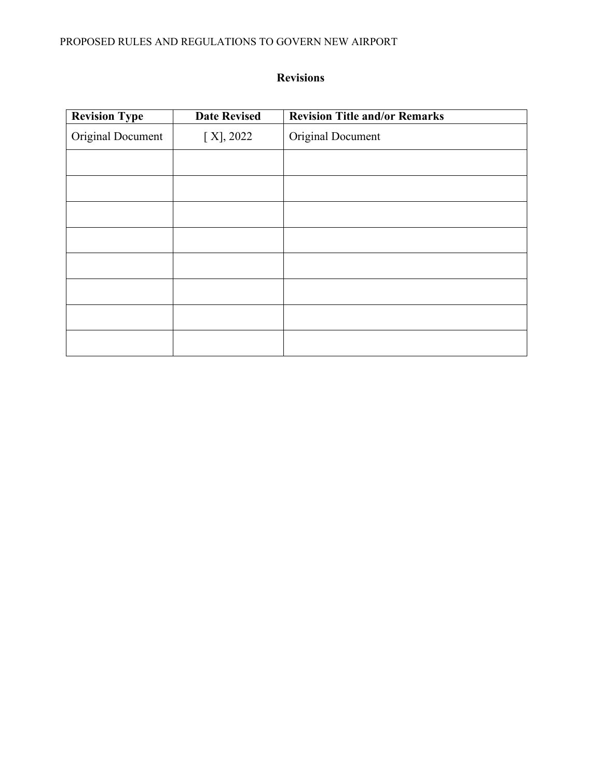## PROPOSED RULES AND REGULATIONS TO GOVERN NEW AIRPORT

# **Revisions**

| <b>Revision Type</b> | <b>Date Revised</b> | <b>Revision Title and/or Remarks</b> |
|----------------------|---------------------|--------------------------------------|
| Original Document    | [X], 2022           | Original Document                    |
|                      |                     |                                      |
|                      |                     |                                      |
|                      |                     |                                      |
|                      |                     |                                      |
|                      |                     |                                      |
|                      |                     |                                      |
|                      |                     |                                      |
|                      |                     |                                      |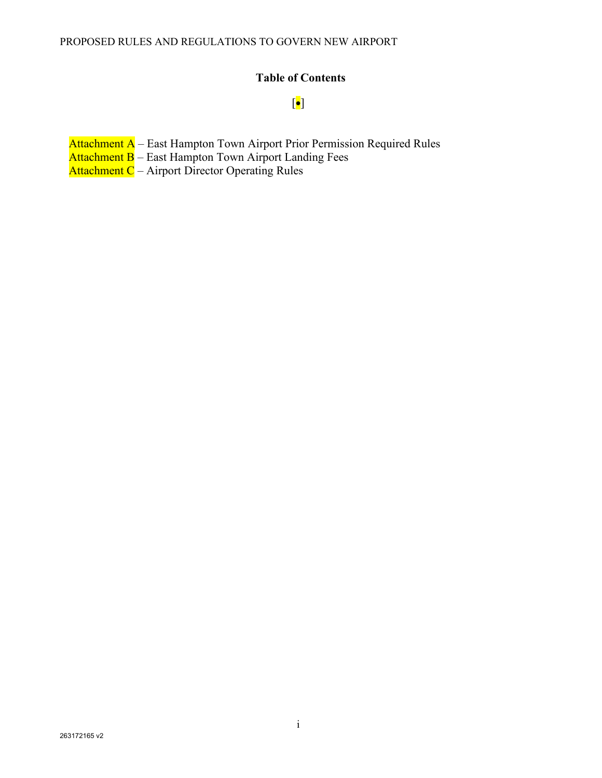# **Table of Contents**

## [•]

- Attachment A East Hampton Town Airport Prior Permission Required Rules
- Attachment B East Hampton Town Airport Landing Fees
- Attachment C Airport Director Operating Rules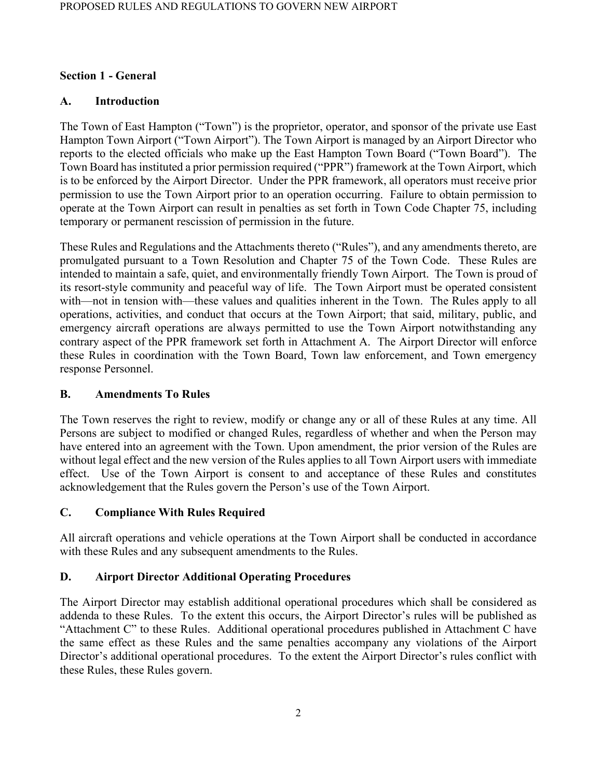### **Section 1 - General**

## **A. Introduction**

The Town of East Hampton ("Town") is the proprietor, operator, and sponsor of the private use East Hampton Town Airport ("Town Airport"). The Town Airport is managed by an Airport Director who reports to the elected officials who make up the East Hampton Town Board ("Town Board"). The Town Board has instituted a prior permission required ("PPR") framework at the Town Airport, which is to be enforced by the Airport Director. Under the PPR framework, all operators must receive prior permission to use the Town Airport prior to an operation occurring. Failure to obtain permission to operate at the Town Airport can result in penalties as set forth in Town Code Chapter 75, including temporary or permanent rescission of permission in the future.

These Rules and Regulations and the Attachments thereto ("Rules"), and any amendments thereto, are promulgated pursuant to a Town Resolution and Chapter 75 of the Town Code. These Rules are intended to maintain a safe, quiet, and environmentally friendly Town Airport. The Town is proud of its resort-style community and peaceful way of life. The Town Airport must be operated consistent with—not in tension with—these values and qualities inherent in the Town. The Rules apply to all operations, activities, and conduct that occurs at the Town Airport; that said, military, public, and emergency aircraft operations are always permitted to use the Town Airport notwithstanding any contrary aspect of the PPR framework set forth in Attachment A. The Airport Director will enforce these Rules in coordination with the Town Board, Town law enforcement, and Town emergency response Personnel.

## **B. Amendments To Rules**

The Town reserves the right to review, modify or change any or all of these Rules at any time. All Persons are subject to modified or changed Rules, regardless of whether and when the Person may have entered into an agreement with the Town. Upon amendment, the prior version of the Rules are without legal effect and the new version of the Rules applies to all Town Airport users with immediate effect. Use of the Town Airport is consent to and acceptance of these Rules and constitutes acknowledgement that the Rules govern the Person's use of the Town Airport.

## **C. Compliance With Rules Required**

All aircraft operations and vehicle operations at the Town Airport shall be conducted in accordance with these Rules and any subsequent amendments to the Rules.

## **D. Airport Director Additional Operating Procedures**

The Airport Director may establish additional operational procedures which shall be considered as addenda to these Rules. To the extent this occurs, the Airport Director's rules will be published as "Attachment C" to these Rules. Additional operational procedures published in Attachment C have the same effect as these Rules and the same penalties accompany any violations of the Airport Director's additional operational procedures. To the extent the Airport Director's rules conflict with these Rules, these Rules govern.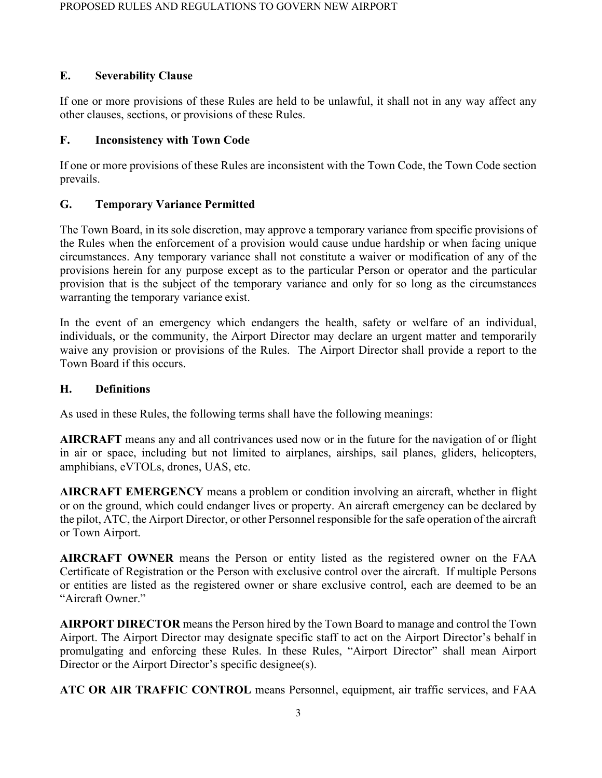## **E. Severability Clause**

If one or more provisions of these Rules are held to be unlawful, it shall not in any way affect any other clauses, sections, or provisions of these Rules.

### **F. Inconsistency with Town Code**

If one or more provisions of these Rules are inconsistent with the Town Code, the Town Code section prevails.

## **G. Temporary Variance Permitted**

The Town Board, in its sole discretion, may approve a temporary variance from specific provisions of the Rules when the enforcement of a provision would cause undue hardship or when facing unique circumstances. Any temporary variance shall not constitute a waiver or modification of any of the provisions herein for any purpose except as to the particular Person or operator and the particular provision that is the subject of the temporary variance and only for so long as the circumstances warranting the temporary variance exist.

In the event of an emergency which endangers the health, safety or welfare of an individual, individuals, or the community, the Airport Director may declare an urgent matter and temporarily waive any provision or provisions of the Rules. The Airport Director shall provide a report to the Town Board if this occurs.

### **H. Definitions**

As used in these Rules, the following terms shall have the following meanings:

**AIRCRAFT** means any and all contrivances used now or in the future for the navigation of or flight in air or space, including but not limited to airplanes, airships, sail planes, gliders, helicopters, amphibians, eVTOLs, drones, UAS, etc.

**AIRCRAFT EMERGENCY** means a problem or condition involving an aircraft, whether in flight or on the ground, which could endanger lives or property. An aircraft emergency can be declared by the pilot, ATC, the Airport Director, or other Personnel responsible for the safe operation of the aircraft or Town Airport.

**AIRCRAFT OWNER** means the Person or entity listed as the registered owner on the FAA Certificate of Registration or the Person with exclusive control over the aircraft. If multiple Persons or entities are listed as the registered owner or share exclusive control, each are deemed to be an "Aircraft Owner."

**AIRPORT DIRECTOR** means the Person hired by the Town Board to manage and control the Town Airport. The Airport Director may designate specific staff to act on the Airport Director's behalf in promulgating and enforcing these Rules. In these Rules, "Airport Director" shall mean Airport Director or the Airport Director's specific designee(s).

**ATC OR AIR TRAFFIC CONTROL** means Personnel, equipment, air traffic services, and FAA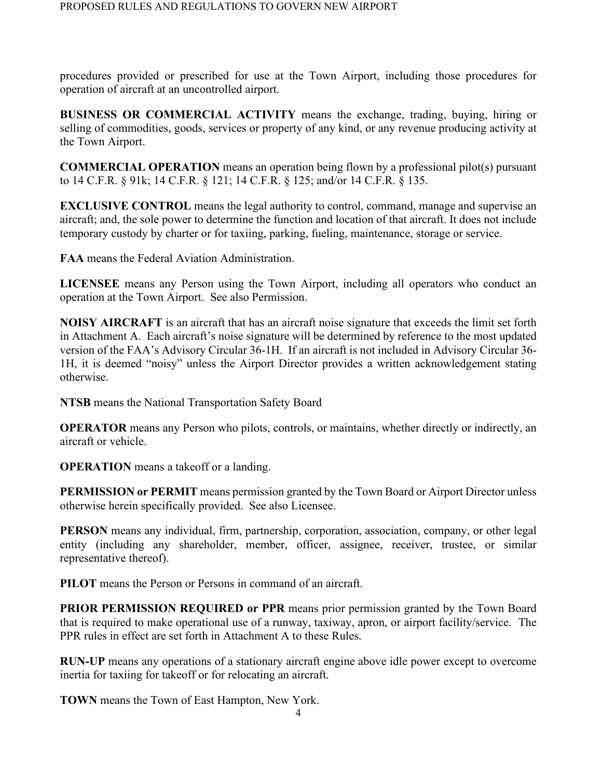procedures provided or prescribed for use at the Town Airport, including those procedures for operation of aircraft at an uncontrolled airport.

**BUSINESS OR COMMERCIAL ACTIVITY** means the exchange, trading, buying, hiring or selling of commodities, goods, services or property of any kind, or any revenue producing activity at the Town Airport.

**COMMERCIAL OPERATION** means an operation being flown by a professional pilot(s) pursuant to 14 C.F.R. § 91k; 14 C.F.R. § 121; 14 C.F.R. § 125; and/or 14 C.F.R. § 135.

**EXCLUSIVE CONTROL** means the legal authority to control, command, manage and supervise an aircraft; and, the sole power to determine the function and location of that aircraft. It does not include temporary custody by charter or for taxiing, parking, fueling, maintenance, storage or service.

**FAA** means the Federal Aviation Administration.

**LICENSEE** means any Person using the Town Airport, including all operators who conduct an operation at the Town Airport. See also Permission.

**NOISY AIRCRAFT** is an aircraft that has an aircraft noise signature that exceeds the limit set forth in Attachment A. Each aircraft's noise signature will be determined by reference to the most updated version of the FAA's Advisory Circular 36-1H. If an aircraft is not included in Advisory Circular 36- 1H, it is deemed "noisy" unless the Airport Director provides a written acknowledgement stating otherwise.

**NTSB** means the National Transportation Safety Board

**OPERATOR** means any Person who pilots, controls, or maintains, whether directly or indirectly, an aircraft or vehicle.

**OPERATION** means a takeoff or a landing.

**PERMISSION or PERMIT** means permission granted by the Town Board or Airport Director unless otherwise herein specifically provided. See also Licensee.

**PERSON** means any individual, firm, partnership, corporation, association, company, or other legal entity (including any shareholder, member, officer, assignee, receiver, trustee, or similar representative thereof).

**PILOT** means the Person or Persons in command of an aircraft.

**PRIOR PERMISSION REQUIRED or PPR means prior permission granted by the Town Board** that is required to make operational use of a runway, taxiway, apron, or airport facility/service. The PPR rules in effect are set forth in Attachment A to these Rules.

**RUN-UP** means any operations of a stationary aircraft engine above idle power except to overcome inertia for taxiing for takeoff or for relocating an aircraft.

**TOWN** means the Town of East Hampton, New York.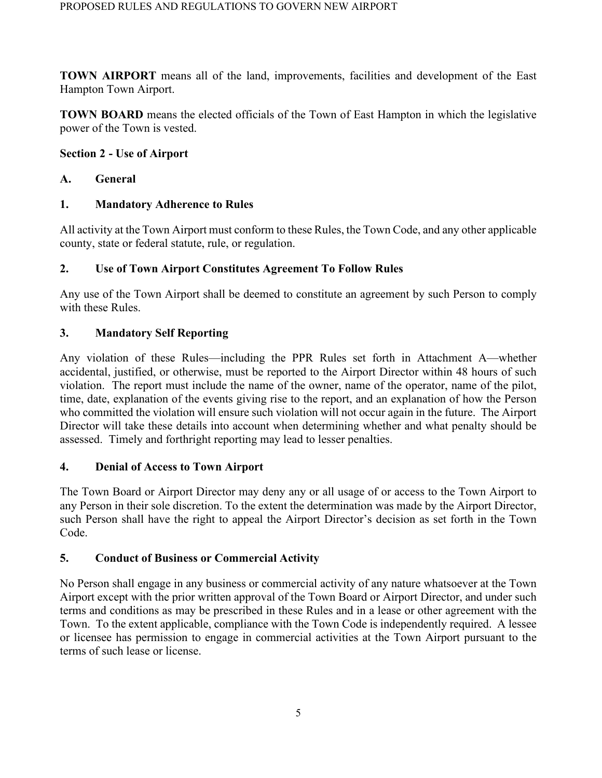**TOWN AIRPORT** means all of the land, improvements, facilities and development of the East Hampton Town Airport.

**TOWN BOARD** means the elected officials of the Town of East Hampton in which the legislative power of the Town is vested.

### **Section 2 - Use of Airport**

### **A. General**

## **1. Mandatory Adherence to Rules**

All activity at the Town Airport must conform to these Rules, the Town Code, and any other applicable county, state or federal statute, rule, or regulation.

### **2. Use of Town Airport Constitutes Agreement To Follow Rules**

Any use of the Town Airport shall be deemed to constitute an agreement by such Person to comply with these Rules.

## **3. Mandatory Self Reporting**

Any violation of these Rules—including the PPR Rules set forth in Attachment A—whether accidental, justified, or otherwise, must be reported to the Airport Director within 48 hours of such violation. The report must include the name of the owner, name of the operator, name of the pilot, time, date, explanation of the events giving rise to the report, and an explanation of how the Person who committed the violation will ensure such violation will not occur again in the future. The Airport Director will take these details into account when determining whether and what penalty should be assessed. Timely and forthright reporting may lead to lesser penalties.

## **4. Denial of Access to Town Airport**

The Town Board or Airport Director may deny any or all usage of or access to the Town Airport to any Person in their sole discretion. To the extent the determination was made by the Airport Director, such Person shall have the right to appeal the Airport Director's decision as set forth in the Town Code.

## **5. Conduct of Business or Commercial Activity**

No Person shall engage in any business or commercial activity of any nature whatsoever at the Town Airport except with the prior written approval of the Town Board or Airport Director, and under such terms and conditions as may be prescribed in these Rules and in a lease or other agreement with the Town. To the extent applicable, compliance with the Town Code is independently required. A lessee or licensee has permission to engage in commercial activities at the Town Airport pursuant to the terms of such lease or license.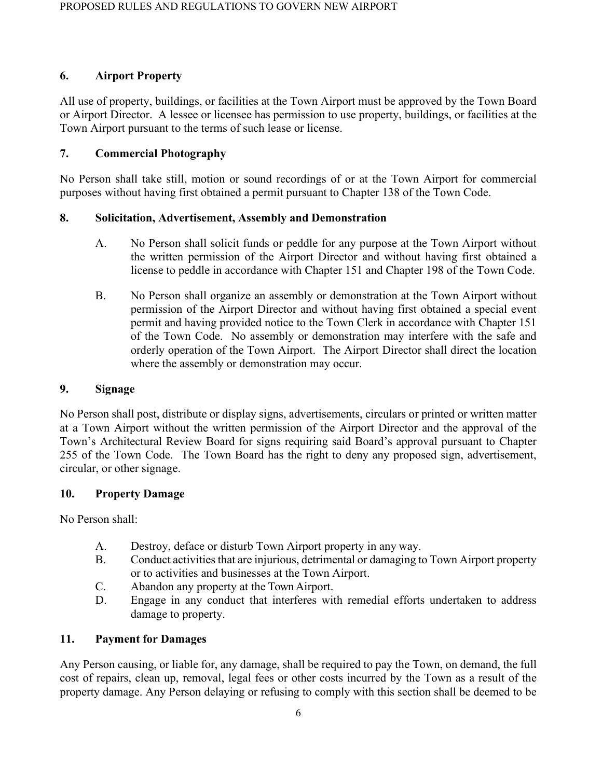## **6. Airport Property**

All use of property, buildings, or facilities at the Town Airport must be approved by the Town Board or Airport Director. A lessee or licensee has permission to use property, buildings, or facilities at the Town Airport pursuant to the terms of such lease or license.

## **7. Commercial Photography**

No Person shall take still, motion or sound recordings of or at the Town Airport for commercial purposes without having first obtained a permit pursuant to Chapter 138 of the Town Code.

## **8. Solicitation, Advertisement, Assembly and Demonstration**

- A. No Person shall solicit funds or peddle for any purpose at the Town Airport without the written permission of the Airport Director and without having first obtained a license to peddle in accordance with Chapter 151 and Chapter 198 of the Town Code.
- B. No Person shall organize an assembly or demonstration at the Town Airport without permission of the Airport Director and without having first obtained a special event permit and having provided notice to the Town Clerk in accordance with Chapter 151 of the Town Code. No assembly or demonstration may interfere with the safe and orderly operation of the Town Airport. The Airport Director shall direct the location where the assembly or demonstration may occur.

## **9. Signage**

No Person shall post, distribute or display signs, advertisements, circulars or printed or written matter at a Town Airport without the written permission of the Airport Director and the approval of the Town's Architectural Review Board for signs requiring said Board's approval pursuant to Chapter 255 of the Town Code. The Town Board has the right to deny any proposed sign, advertisement, circular, or other signage.

## **10. Property Damage**

No Person shall:

- A. Destroy, deface or disturb Town Airport property in any way.
- B. Conduct activities that are injurious, detrimental or damaging to Town Airport property or to activities and businesses at the Town Airport.
- C. Abandon any property at the Town Airport.
- D. Engage in any conduct that interferes with remedial efforts undertaken to address damage to property.

## **11. Payment for Damages**

Any Person causing, or liable for, any damage, shall be required to pay the Town, on demand, the full cost of repairs, clean up, removal, legal fees or other costs incurred by the Town as a result of the property damage. Any Person delaying or refusing to comply with this section shall be deemed to be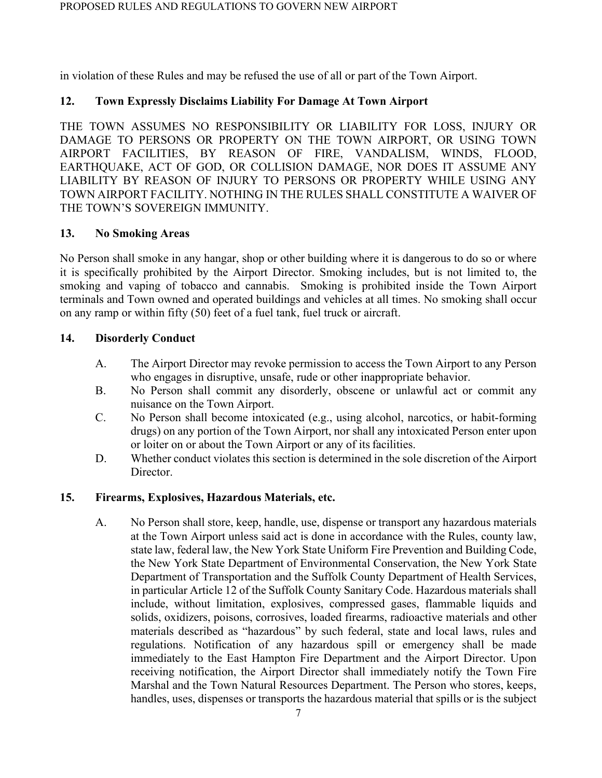in violation of these Rules and may be refused the use of all or part of the Town Airport.

## **12. Town Expressly Disclaims Liability For Damage At Town Airport**

THE TOWN ASSUMES NO RESPONSIBILITY OR LIABILITY FOR LOSS, INJURY OR DAMAGE TO PERSONS OR PROPERTY ON THE TOWN AIRPORT, OR USING TOWN AIRPORT FACILITIES, BY REASON OF FIRE, VANDALISM, WINDS, FLOOD, EARTHQUAKE, ACT OF GOD, OR COLLISION DAMAGE, NOR DOES IT ASSUME ANY LIABILITY BY REASON OF INJURY TO PERSONS OR PROPERTY WHILE USING ANY TOWN AIRPORT FACILITY. NOTHING IN THE RULES SHALL CONSTITUTE A WAIVER OF THE TOWN'S SOVEREIGN IMMUNITY.

## **13. No Smoking Areas**

No Person shall smoke in any hangar, shop or other building where it is dangerous to do so or where it is specifically prohibited by the Airport Director. Smoking includes, but is not limited to, the smoking and vaping of tobacco and cannabis. Smoking is prohibited inside the Town Airport terminals and Town owned and operated buildings and vehicles at all times. No smoking shall occur on any ramp or within fifty (50) feet of a fuel tank, fuel truck or aircraft.

## **14. Disorderly Conduct**

- A. The Airport Director may revoke permission to access the Town Airport to any Person who engages in disruptive, unsafe, rude or other inappropriate behavior.
- B. No Person shall commit any disorderly, obscene or unlawful act or commit any nuisance on the Town Airport.
- C. No Person shall become intoxicated (e.g., using alcohol, narcotics, or habit-forming drugs) on any portion of the Town Airport, nor shall any intoxicated Person enter upon or loiter on or about the Town Airport or any of its facilities.
- D. Whether conduct violates this section is determined in the sole discretion of the Airport Director.

## **15. Firearms, Explosives, Hazardous Materials, etc.**

A. No Person shall store, keep, handle, use, dispense or transport any hazardous materials at the Town Airport unless said act is done in accordance with the Rules, county law, state law, federal law, the New York State Uniform Fire Prevention and Building Code, the New York State Department of Environmental Conservation, the New York State Department of Transportation and the Suffolk County Department of Health Services, in particular Article 12 of the Suffolk County Sanitary Code. Hazardous materials shall include, without limitation, explosives, compressed gases, flammable liquids and solids, oxidizers, poisons, corrosives, loaded firearms, radioactive materials and other materials described as "hazardous" by such federal, state and local laws, rules and regulations. Notification of any hazardous spill or emergency shall be made immediately to the East Hampton Fire Department and the Airport Director. Upon receiving notification, the Airport Director shall immediately notify the Town Fire Marshal and the Town Natural Resources Department. The Person who stores, keeps, handles, uses, dispenses or transports the hazardous material that spills or is the subject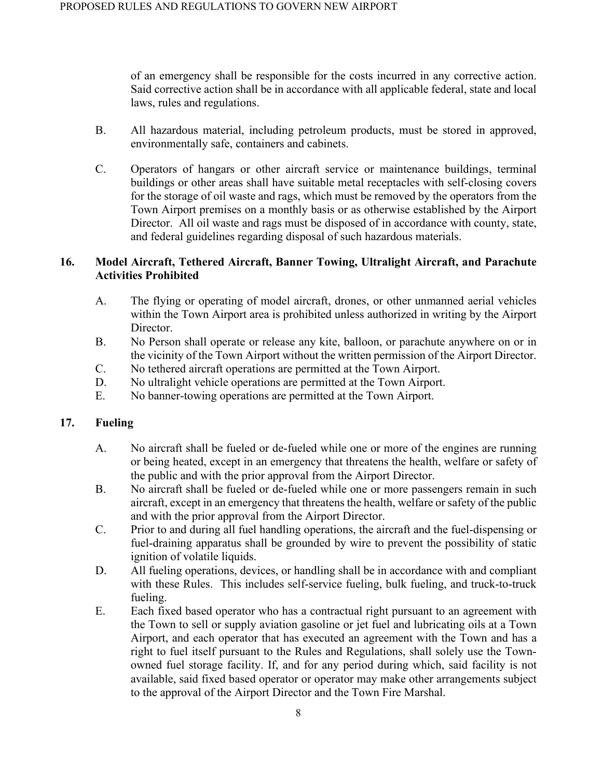of an emergency shall be responsible for the costs incurred in any corrective action. Said corrective action shall be in accordance with all applicable federal, state and local laws, rules and regulations.

- B. All hazardous material, including petroleum products, must be stored in approved, environmentally safe, containers and cabinets.
- C. Operators of hangars or other aircraft service or maintenance buildings, terminal buildings or other areas shall have suitable metal receptacles with self-closing covers for the storage of oil waste and rags, which must be removed by the operators from the Town Airport premises on a monthly basis or as otherwise established by the Airport Director. All oil waste and rags must be disposed of in accordance with county, state, and federal guidelines regarding disposal of such hazardous materials.

## **16. Model Aircraft, Tethered Aircraft, Banner Towing, Ultralight Aircraft, and Parachute Activities Prohibited**

- A. The flying or operating of model aircraft, drones, or other unmanned aerial vehicles within the Town Airport area is prohibited unless authorized in writing by the Airport Director.
- B. No Person shall operate or release any kite, balloon, or parachute anywhere on or in the vicinity of the Town Airport without the written permission of the Airport Director.
- C. No tethered aircraft operations are permitted at the Town Airport.
- D. No ultralight vehicle operations are permitted at the Town Airport.
- E. No banner-towing operations are permitted at the Town Airport.

## **17. Fueling**

- A. No aircraft shall be fueled or de-fueled while one or more of the engines are running or being heated, except in an emergency that threatens the health, welfare or safety of the public and with the prior approval from the Airport Director.
- B. No aircraft shall be fueled or de-fueled while one or more passengers remain in such aircraft, except in an emergency that threatens the health, welfare or safety of the public and with the prior approval from the Airport Director.
- C. Prior to and during all fuel handling operations, the aircraft and the fuel-dispensing or fuel-draining apparatus shall be grounded by wire to prevent the possibility of static ignition of volatile liquids.
- D. All fueling operations, devices, or handling shall be in accordance with and compliant with these Rules. This includes self-service fueling, bulk fueling, and truck-to-truck fueling.
- E. Each fixed based operator who has a contractual right pursuant to an agreement with the Town to sell or supply aviation gasoline or jet fuel and lubricating oils at a Town Airport, and each operator that has executed an agreement with the Town and has a right to fuel itself pursuant to the Rules and Regulations, shall solely use the Townowned fuel storage facility. If, and for any period during which, said facility is not available, said fixed based operator or operator may make other arrangements subject to the approval of the Airport Director and the Town Fire Marshal.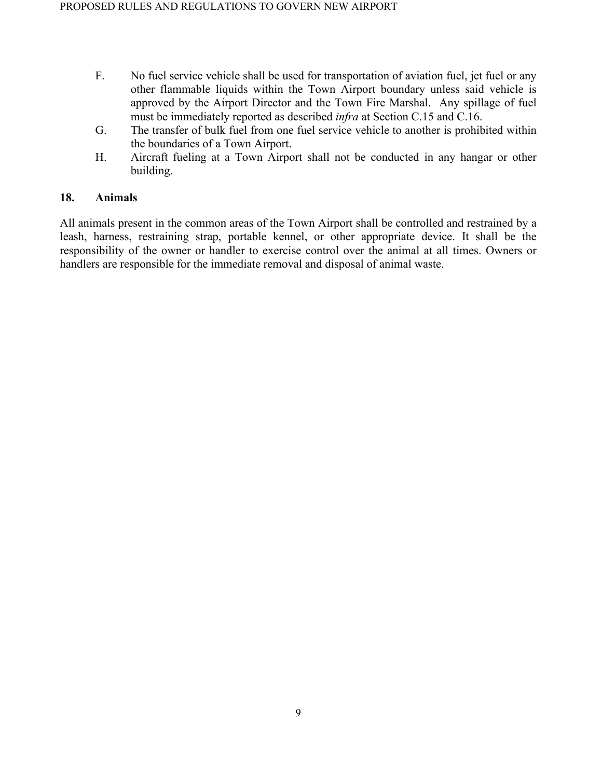- F. No fuel service vehicle shall be used for transportation of aviation fuel, jet fuel or any other flammable liquids within the Town Airport boundary unless said vehicle is approved by the Airport Director and the Town Fire Marshal. Any spillage of fuel must be immediately reported as described *infra* at Section C.15 and C.16.
- G. The transfer of bulk fuel from one fuel service vehicle to another is prohibited within the boundaries of a Town Airport.
- H. Aircraft fueling at a Town Airport shall not be conducted in any hangar or other building.

#### **18. Animals**

All animals present in the common areas of the Town Airport shall be controlled and restrained by a leash, harness, restraining strap, portable kennel, or other appropriate device. It shall be the responsibility of the owner or handler to exercise control over the animal at all times. Owners or handlers are responsible for the immediate removal and disposal of animal waste.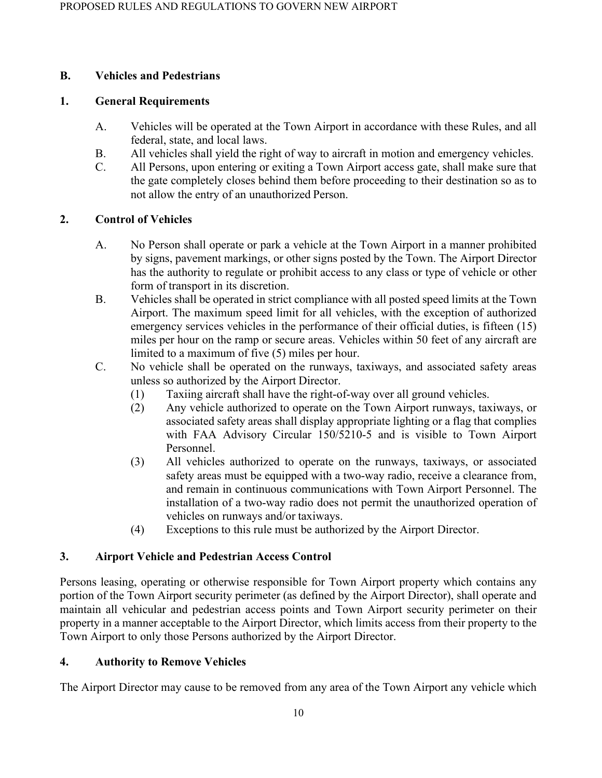## **B. Vehicles and Pedestrians**

#### **1. General Requirements**

- A. Vehicles will be operated at the Town Airport in accordance with these Rules, and all federal, state, and local laws.
- B. All vehicles shall yield the right of way to aircraft in motion and emergency vehicles.
- C. All Persons, upon entering or exiting a Town Airport access gate, shall make sure that the gate completely closes behind them before proceeding to their destination so as to not allow the entry of an unauthorized Person.

## **2. Control of Vehicles**

- A. No Person shall operate or park a vehicle at the Town Airport in a manner prohibited by signs, pavement markings, or other signs posted by the Town. The Airport Director has the authority to regulate or prohibit access to any class or type of vehicle or other form of transport in its discretion.
- B. Vehicles shall be operated in strict compliance with all posted speed limits at the Town Airport. The maximum speed limit for all vehicles, with the exception of authorized emergency services vehicles in the performance of their official duties, is fifteen (15) miles per hour on the ramp or secure areas. Vehicles within 50 feet of any aircraft are limited to a maximum of five (5) miles per hour.
- C. No vehicle shall be operated on the runways, taxiways, and associated safety areas unless so authorized by the Airport Director.
	- (1) Taxiing aircraft shall have the right-of-way over all ground vehicles.
	- (2) Any vehicle authorized to operate on the Town Airport runways, taxiways, or associated safety areas shall display appropriate lighting or a flag that complies with FAA Advisory Circular 150/5210-5 and is visible to Town Airport Personnel.
	- (3) All vehicles authorized to operate on the runways, taxiways, or associated safety areas must be equipped with a two-way radio, receive a clearance from, and remain in continuous communications with Town Airport Personnel. The installation of a two-way radio does not permit the unauthorized operation of vehicles on runways and/or taxiways.
	- (4) Exceptions to this rule must be authorized by the Airport Director.

## **3. Airport Vehicle and Pedestrian Access Control**

Persons leasing, operating or otherwise responsible for Town Airport property which contains any portion of the Town Airport security perimeter (as defined by the Airport Director), shall operate and maintain all vehicular and pedestrian access points and Town Airport security perimeter on their property in a manner acceptable to the Airport Director, which limits access from their property to the Town Airport to only those Persons authorized by the Airport Director.

## **4. Authority to Remove Vehicles**

The Airport Director may cause to be removed from any area of the Town Airport any vehicle which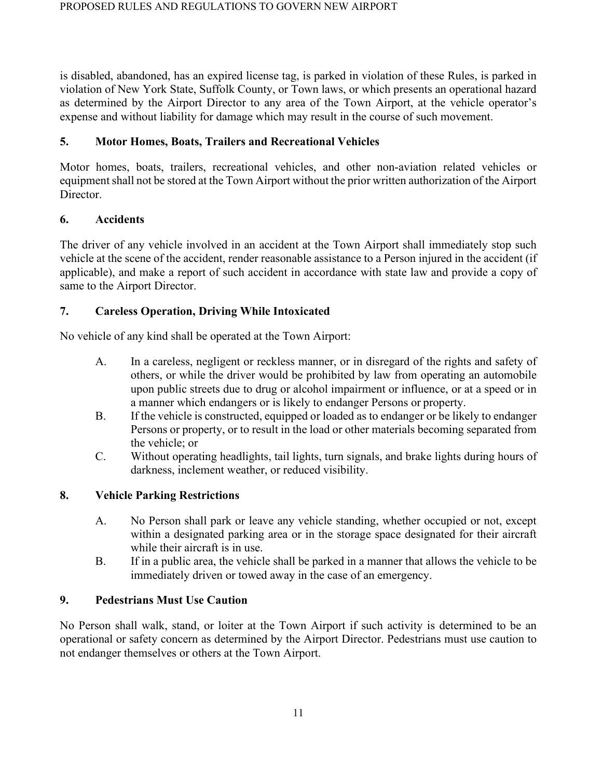is disabled, abandoned, has an expired license tag, is parked in violation of these Rules, is parked in violation of New York State, Suffolk County, or Town laws, or which presents an operational hazard as determined by the Airport Director to any area of the Town Airport, at the vehicle operator's expense and without liability for damage which may result in the course of such movement.

## **5. Motor Homes, Boats, Trailers and Recreational Vehicles**

Motor homes, boats, trailers, recreational vehicles, and other non-aviation related vehicles or equipment shall not be stored at the Town Airport without the prior written authorization of the Airport Director.

## **6. Accidents**

The driver of any vehicle involved in an accident at the Town Airport shall immediately stop such vehicle at the scene of the accident, render reasonable assistance to a Person injured in the accident (if applicable), and make a report of such accident in accordance with state law and provide a copy of same to the Airport Director.

## **7. Careless Operation, Driving While Intoxicated**

No vehicle of any kind shall be operated at the Town Airport:

- A. In a careless, negligent or reckless manner, or in disregard of the rights and safety of others, or while the driver would be prohibited by law from operating an automobile upon public streets due to drug or alcohol impairment or influence, or at a speed or in a manner which endangers or is likely to endanger Persons or property.
- B. If the vehicle is constructed, equipped or loaded as to endanger or be likely to endanger Persons or property, or to result in the load or other materials becoming separated from the vehicle; or
- C. Without operating headlights, tail lights, turn signals, and brake lights during hours of darkness, inclement weather, or reduced visibility.

## **8. Vehicle Parking Restrictions**

- A. No Person shall park or leave any vehicle standing, whether occupied or not, except within a designated parking area or in the storage space designated for their aircraft while their aircraft is in use.
- B. If in a public area, the vehicle shall be parked in a manner that allows the vehicle to be immediately driven or towed away in the case of an emergency.

## **9. Pedestrians Must Use Caution**

No Person shall walk, stand, or loiter at the Town Airport if such activity is determined to be an operational or safety concern as determined by the Airport Director. Pedestrians must use caution to not endanger themselves or others at the Town Airport.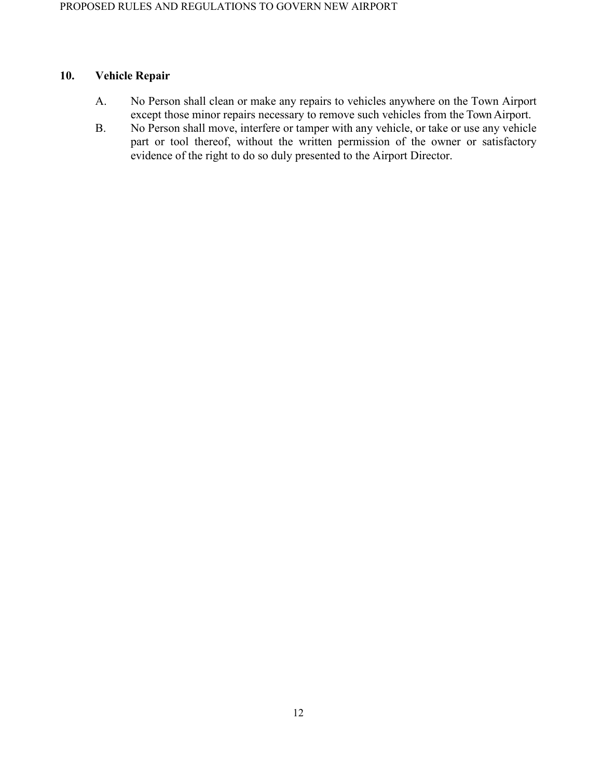### **10. Vehicle Repair**

- A. No Person shall clean or make any repairs to vehicles anywhere on the Town Airport except those minor repairs necessary to remove such vehicles from the Town Airport.
- B. No Person shall move, interfere or tamper with any vehicle, or take or use any vehicle part or tool thereof, without the written permission of the owner or satisfactory evidence of the right to do so duly presented to the Airport Director.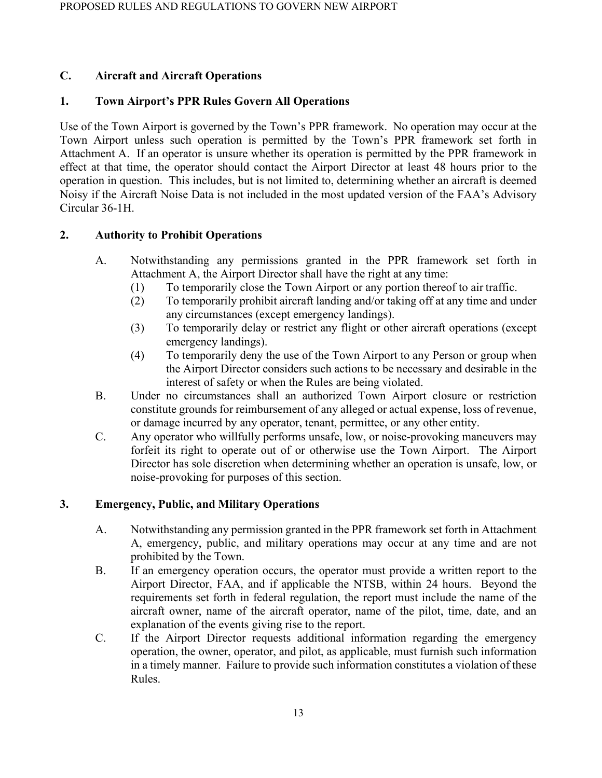## **C. Aircraft and Aircraft Operations**

## **1. Town Airport's PPR Rules Govern All Operations**

Use of the Town Airport is governed by the Town's PPR framework. No operation may occur at the Town Airport unless such operation is permitted by the Town's PPR framework set forth in Attachment A. If an operator is unsure whether its operation is permitted by the PPR framework in effect at that time, the operator should contact the Airport Director at least 48 hours prior to the operation in question. This includes, but is not limited to, determining whether an aircraft is deemed Noisy if the Aircraft Noise Data is not included in the most updated version of the FAA's Advisory Circular 36-1H.

## **2. Authority to Prohibit Operations**

- A. Notwithstanding any permissions granted in the PPR framework set forth in Attachment A, the Airport Director shall have the right at any time:
	- (1) To temporarily close the Town Airport or any portion thereof to air traffic.
	- (2) To temporarily prohibit aircraft landing and/or taking off at any time and under any circumstances (except emergency landings).
	- (3) To temporarily delay or restrict any flight or other aircraft operations (except emergency landings).
	- (4) To temporarily deny the use of the Town Airport to any Person or group when the Airport Director considers such actions to be necessary and desirable in the interest of safety or when the Rules are being violated.
- B. Under no circumstances shall an authorized Town Airport closure or restriction constitute grounds for reimbursement of any alleged or actual expense, loss of revenue, or damage incurred by any operator, tenant, permittee, or any other entity.
- C. Any operator who willfully performs unsafe, low, or noise-provoking maneuvers may forfeit its right to operate out of or otherwise use the Town Airport. The Airport Director has sole discretion when determining whether an operation is unsafe, low, or noise-provoking for purposes of this section.

## **3. Emergency, Public, and Military Operations**

- A. Notwithstanding any permission granted in the PPR framework set forth in Attachment A, emergency, public, and military operations may occur at any time and are not prohibited by the Town.
- B. If an emergency operation occurs, the operator must provide a written report to the Airport Director, FAA, and if applicable the NTSB, within 24 hours. Beyond the requirements set forth in federal regulation, the report must include the name of the aircraft owner, name of the aircraft operator, name of the pilot, time, date, and an explanation of the events giving rise to the report.
- C. If the Airport Director requests additional information regarding the emergency operation, the owner, operator, and pilot, as applicable, must furnish such information in a timely manner. Failure to provide such information constitutes a violation of these Rules.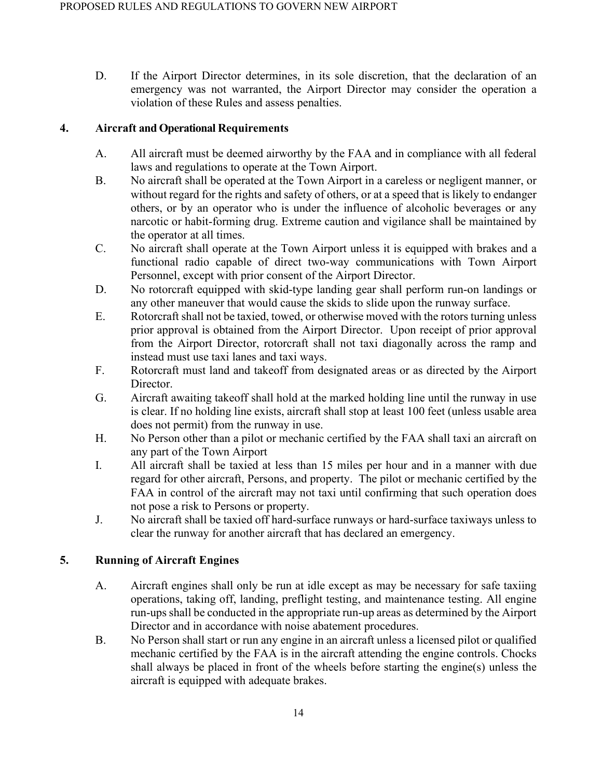D. If the Airport Director determines, in its sole discretion, that the declaration of an emergency was not warranted, the Airport Director may consider the operation a violation of these Rules and assess penalties.

### **4. Aircraft and Operational Requirements**

- A. All aircraft must be deemed airworthy by the FAA and in compliance with all federal laws and regulations to operate at the Town Airport.
- B. No aircraft shall be operated at the Town Airport in a careless or negligent manner, or without regard for the rights and safety of others, or at a speed that is likely to endanger others, or by an operator who is under the influence of alcoholic beverages or any narcotic or habit-forming drug. Extreme caution and vigilance shall be maintained by the operator at all times.
- C. No aircraft shall operate at the Town Airport unless it is equipped with brakes and a functional radio capable of direct two-way communications with Town Airport Personnel, except with prior consent of the Airport Director.
- D. No rotorcraft equipped with skid-type landing gear shall perform run-on landings or any other maneuver that would cause the skids to slide upon the runway surface.
- E. Rotorcraft shall not be taxied, towed, or otherwise moved with the rotors turning unless prior approval is obtained from the Airport Director. Upon receipt of prior approval from the Airport Director, rotorcraft shall not taxi diagonally across the ramp and instead must use taxi lanes and taxi ways.
- F. Rotorcraft must land and takeoff from designated areas or as directed by the Airport Director.
- G. Aircraft awaiting takeoff shall hold at the marked holding line until the runway in use is clear. If no holding line exists, aircraft shall stop at least 100 feet (unless usable area does not permit) from the runway in use.
- H. No Person other than a pilot or mechanic certified by the FAA shall taxi an aircraft on any part of the Town Airport
- I. All aircraft shall be taxied at less than 15 miles per hour and in a manner with due regard for other aircraft, Persons, and property. The pilot or mechanic certified by the FAA in control of the aircraft may not taxi until confirming that such operation does not pose a risk to Persons or property.
- J. No aircraft shall be taxied off hard-surface runways or hard-surface taxiways unless to clear the runway for another aircraft that has declared an emergency.

## **5. Running of Aircraft Engines**

- A. Aircraft engines shall only be run at idle except as may be necessary for safe taxiing operations, taking off, landing, preflight testing, and maintenance testing. All engine run-ups shall be conducted in the appropriate run-up areas as determined by the Airport Director and in accordance with noise abatement procedures.
- B. No Person shall start or run any engine in an aircraft unless a licensed pilot or qualified mechanic certified by the FAA is in the aircraft attending the engine controls. Chocks shall always be placed in front of the wheels before starting the engine(s) unless the aircraft is equipped with adequate brakes.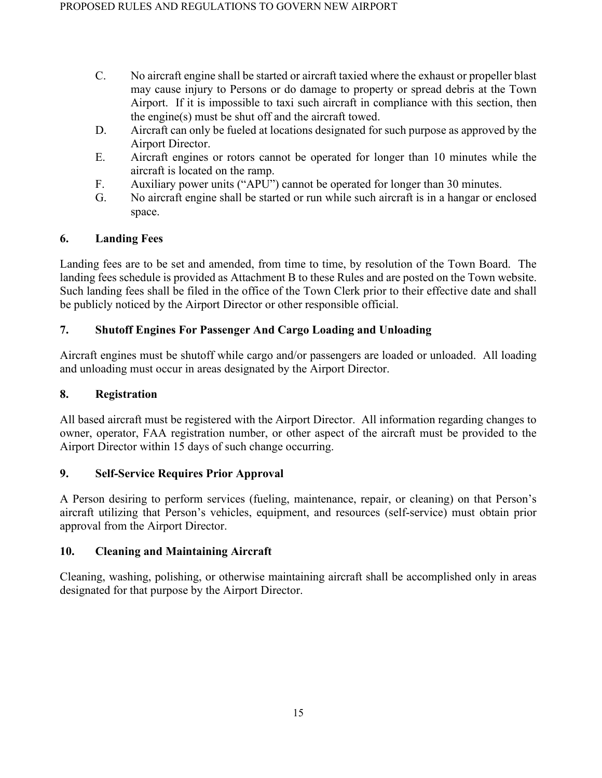- C. No aircraft engine shall be started or aircraft taxied where the exhaust or propeller blast may cause injury to Persons or do damage to property or spread debris at the Town Airport. If it is impossible to taxi such aircraft in compliance with this section, then the engine(s) must be shut off and the aircraft towed.
- D. Aircraft can only be fueled at locations designated for such purpose as approved by the Airport Director.
- E. Aircraft engines or rotors cannot be operated for longer than 10 minutes while the aircraft is located on the ramp.
- F. Auxiliary power units ("APU") cannot be operated for longer than 30 minutes.
- G. No aircraft engine shall be started or run while such aircraft is in a hangar or enclosed space.

## **6. Landing Fees**

Landing fees are to be set and amended, from time to time, by resolution of the Town Board. The landing fees schedule is provided as Attachment B to these Rules and are posted on the Town website. Such landing fees shall be filed in the office of the Town Clerk prior to their effective date and shall be publicly noticed by the Airport Director or other responsible official.

## **7. Shutoff Engines For Passenger And Cargo Loading and Unloading**

Aircraft engines must be shutoff while cargo and/or passengers are loaded or unloaded. All loading and unloading must occur in areas designated by the Airport Director.

### **8. Registration**

All based aircraft must be registered with the Airport Director. All information regarding changes to owner, operator, FAA registration number, or other aspect of the aircraft must be provided to the Airport Director within 15 days of such change occurring.

## **9. Self-Service Requires Prior Approval**

A Person desiring to perform services (fueling, maintenance, repair, or cleaning) on that Person's aircraft utilizing that Person's vehicles, equipment, and resources (self-service) must obtain prior approval from the Airport Director.

## **10. Cleaning and Maintaining Aircraft**

Cleaning, washing, polishing, or otherwise maintaining aircraft shall be accomplished only in areas designated for that purpose by the Airport Director.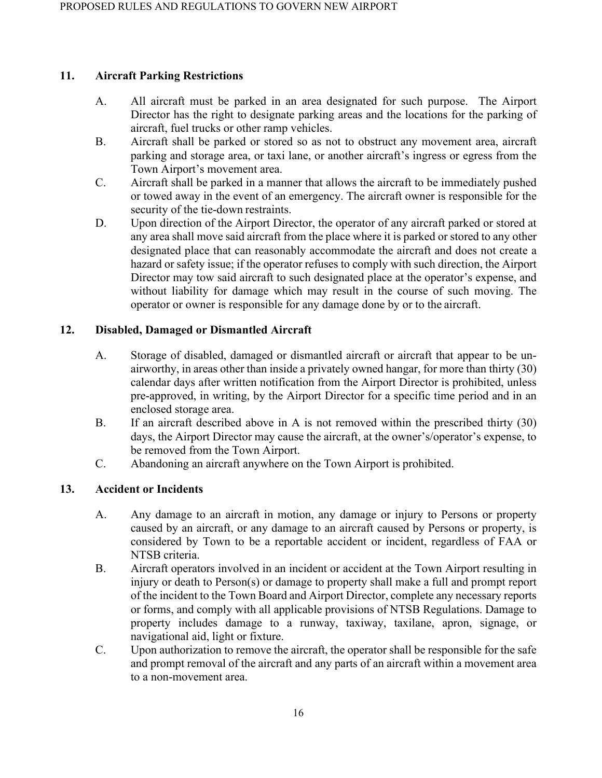### **11. Aircraft Parking Restrictions**

- A. All aircraft must be parked in an area designated for such purpose. The Airport Director has the right to designate parking areas and the locations for the parking of aircraft, fuel trucks or other ramp vehicles.
- B. Aircraft shall be parked or stored so as not to obstruct any movement area, aircraft parking and storage area, or taxi lane, or another aircraft's ingress or egress from the Town Airport's movement area.
- C. Aircraft shall be parked in a manner that allows the aircraft to be immediately pushed or towed away in the event of an emergency. The aircraft owner is responsible for the security of the tie-down restraints.
- D. Upon direction of the Airport Director, the operator of any aircraft parked or stored at any area shall move said aircraft from the place where it is parked or stored to any other designated place that can reasonably accommodate the aircraft and does not create a hazard or safety issue; if the operator refuses to comply with such direction, the Airport Director may tow said aircraft to such designated place at the operator's expense, and without liability for damage which may result in the course of such moving. The operator or owner is responsible for any damage done by or to the aircraft.

## **12. Disabled, Damaged or Dismantled Aircraft**

- A. Storage of disabled, damaged or dismantled aircraft or aircraft that appear to be unairworthy, in areas other than inside a privately owned hangar, for more than thirty (30) calendar days after written notification from the Airport Director is prohibited, unless pre-approved, in writing, by the Airport Director for a specific time period and in an enclosed storage area.
- B. If an aircraft described above in A is not removed within the prescribed thirty (30) days, the Airport Director may cause the aircraft, at the owner's/operator's expense, to be removed from the Town Airport.
- C. Abandoning an aircraft anywhere on the Town Airport is prohibited.

## **13. Accident or Incidents**

- A. Any damage to an aircraft in motion, any damage or injury to Persons or property caused by an aircraft, or any damage to an aircraft caused by Persons or property, is considered by Town to be a reportable accident or incident, regardless of FAA or NTSB criteria.
- B. Aircraft operators involved in an incident or accident at the Town Airport resulting in injury or death to Person(s) or damage to property shall make a full and prompt report of the incident to the Town Board and Airport Director, complete any necessary reports or forms, and comply with all applicable provisions of NTSB Regulations. Damage to property includes damage to a runway, taxiway, taxilane, apron, signage, or navigational aid, light or fixture.
- C. Upon authorization to remove the aircraft, the operator shall be responsible for the safe and prompt removal of the aircraft and any parts of an aircraft within a movement area to a non-movement area.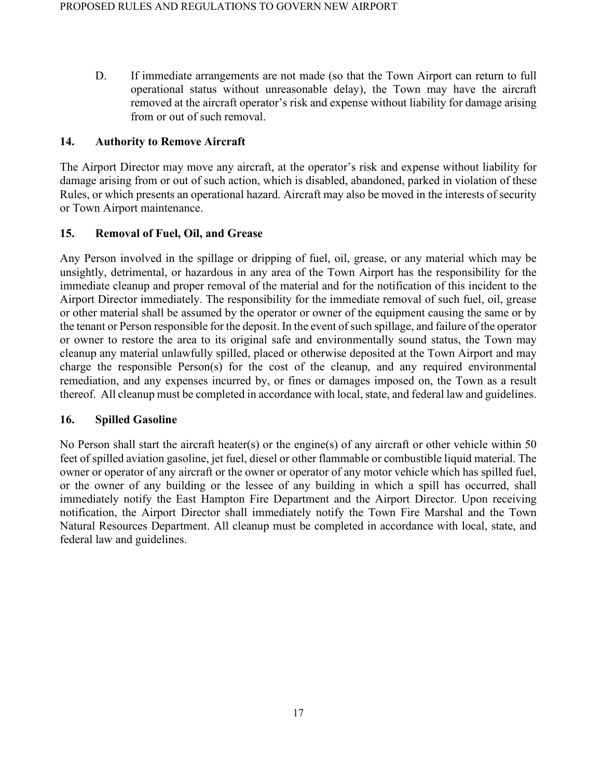D. If immediate arrangements are not made (so that the Town Airport can return to full operational status without unreasonable delay), the Town may have the aircraft removed at the aircraft operator's risk and expense without liability for damage arising from or out of such removal.

### **14. Authority to Remove Aircraft**

The Airport Director may move any aircraft, at the operator's risk and expense without liability for damage arising from or out of such action, which is disabled, abandoned, parked in violation of these Rules, or which presents an operational hazard. Aircraft may also be moved in the interests of security or Town Airport maintenance.

### **15. Removal of Fuel, Oil, and Grease**

Any Person involved in the spillage or dripping of fuel, oil, grease, or any material which may be unsightly, detrimental, or hazardous in any area of the Town Airport has the responsibility for the immediate cleanup and proper removal of the material and for the notification of this incident to the Airport Director immediately. The responsibility for the immediate removal of such fuel, oil, grease or other material shall be assumed by the operator or owner of the equipment causing the same or by the tenant or Person responsible for the deposit. In the event of such spillage, and failure of the operator or owner to restore the area to its original safe and environmentally sound status, the Town may cleanup any material unlawfully spilled, placed or otherwise deposited at the Town Airport and may charge the responsible Person(s) for the cost of the cleanup, and any required environmental remediation, and any expenses incurred by, or fines or damages imposed on, the Town as a result thereof. All cleanup must be completed in accordance with local, state, and federal law and guidelines.

#### **16. Spilled Gasoline**

No Person shall start the aircraft heater(s) or the engine(s) of any aircraft or other vehicle within 50 feet of spilled aviation gasoline, jet fuel, diesel or other flammable or combustible liquid material. The owner or operator of any aircraft or the owner or operator of any motor vehicle which has spilled fuel, or the owner of any building or the lessee of any building in which a spill has occurred, shall immediately notify the East Hampton Fire Department and the Airport Director. Upon receiving notification, the Airport Director shall immediately notify the Town Fire Marshal and the Town Natural Resources Department. All cleanup must be completed in accordance with local, state, and federal law and guidelines.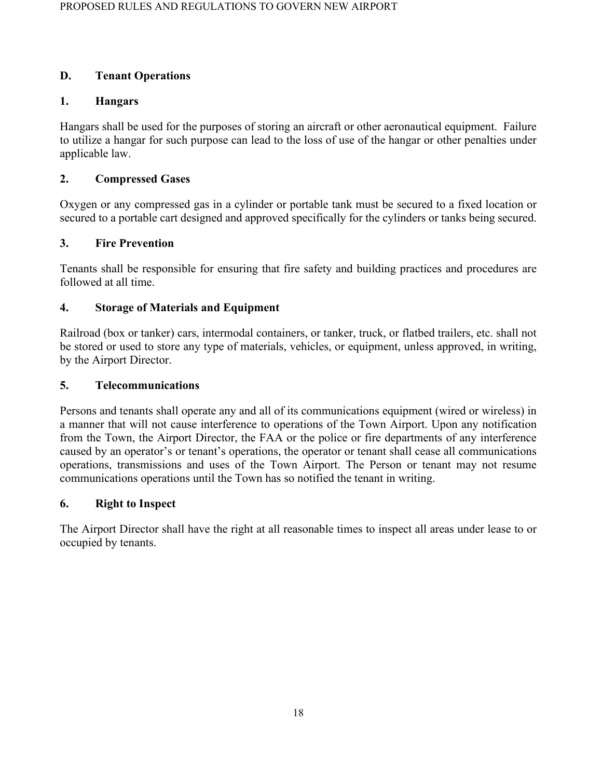## **D. Tenant Operations**

## **1. Hangars**

Hangars shall be used for the purposes of storing an aircraft or other aeronautical equipment. Failure to utilize a hangar for such purpose can lead to the loss of use of the hangar or other penalties under applicable law.

## **2. Compressed Gases**

Oxygen or any compressed gas in a cylinder or portable tank must be secured to a fixed location or secured to a portable cart designed and approved specifically for the cylinders or tanks being secured.

## **3. Fire Prevention**

Tenants shall be responsible for ensuring that fire safety and building practices and procedures are followed at all time.

## **4. Storage of Materials and Equipment**

Railroad (box or tanker) cars, intermodal containers, or tanker, truck, or flatbed trailers, etc. shall not be stored or used to store any type of materials, vehicles, or equipment, unless approved, in writing, by the Airport Director.

## **5. Telecommunications**

Persons and tenants shall operate any and all of its communications equipment (wired or wireless) in a manner that will not cause interference to operations of the Town Airport. Upon any notification from the Town, the Airport Director, the FAA or the police or fire departments of any interference caused by an operator's or tenant's operations, the operator or tenant shall cease all communications operations, transmissions and uses of the Town Airport. The Person or tenant may not resume communications operations until the Town has so notified the tenant in writing.

## **6. Right to Inspect**

The Airport Director shall have the right at all reasonable times to inspect all areas under lease to or occupied by tenants.